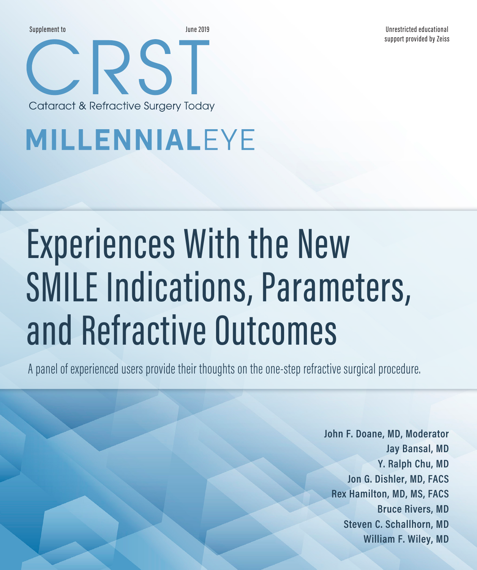Supplement to June 2019

Unrestricted educational support provided by Zeiss

# MILLENNIALEYE

RST:

Cataract & Refractive Surgery Today

# Experiences With the New SMILE Indications, Parameters, and Refractive Outcomes

A panel of experienced users provide their thoughts on the one-step refractive surgical procedure.

**John F. Doane, MD, Moderator Jay Bansal, MD Y. Ralph Chu, MD Jon G. Dishler, MD, FACS Rex Hamilton, MD, MS, FACS Bruce Rivers, MD Steven C. Schallhorn, MD William F. Wiley, MD**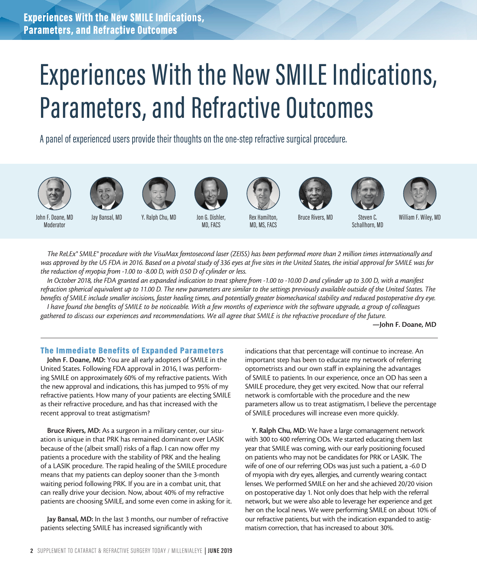# Experiences With the New SMILE Indications, Parameters, and Refractive Outcomes

A panel of experienced users provide their thoughts on the one-step refractive surgical procedure.



















John F. Doane, MD Moderator

Jay Bansal, MD Y. Ralph Chu, MD Jon G. Dishler, MD, FACS

Rex Hamilton, MD, MS, FACS

Bruce Rivers, MD Steven C.

Schallhorn, MD

William F. Wiley, MD

*The ReLEx® SMILE® procedure with the VisuMax femtosecond laser (ZEISS) has been performed more than 2 million times internationally and*  was approved by the US FDA in 2016. Based on a pivotal study of 336 eyes at five sites in the United States, the initial approval for SMILE was for *the reduction of myopia from -1.00 to -8.00 D, with 0.50 D of cylinder or less.* 

*In October 2018, the FDA granted an expanded indication to treat sphere from -1.00 to -10.00 D and cylinder up to 3.00 D, with a manifest refraction spherical equivalent up to 11.00 D. The new parameters are similar to the settings previously available outside of the United States. The benefits of SMILE include smaller incisions, faster healing times, and potentially greater biomechanical stability and reduced postoperative dry eye.*

*I have found the benefits of SMILE to be noticeable. With a few months of experience with the software upgrade, a group of colleagues gathered to discuss our experiences and recommendations. We all agree that SMILE is the refractive procedure of the future.*

—John F. Doane, MD

### The Immediate Benefits of Expanded Parameters

John F. Doane, MD: You are all early adopters of SMILE in the United States. Following FDA approval in 2016, I was performing SMILE on approximately 60% of my refractive patients. With the new approval and indications, this has jumped to 95% of my refractive patients. How many of your patients are electing SMILE as their refractive procedure, and has that increased with the recent approval to treat astigmatism?

Bruce Rivers, MD: As a surgeon in a military center, our situation is unique in that PRK has remained dominant over LASIK because of the (albeit small) risks of a flap. I can now offer my patients a procedure with the stability of PRK and the healing of a LASIK procedure. The rapid healing of the SMILE procedure means that my patients can deploy sooner than the 3-month waiting period following PRK. If you are in a combat unit, that can really drive your decision. Now, about 40% of my refractive patients are choosing SMILE, and some even come in asking for it.

Jay Bansal, MD: In the last 3 months, our number of refractive patients selecting SMILE has increased significantly with

indications that that percentage will continue to increase. An important step has been to educate my network of referring optometrists and our own staff in explaining the advantages of SMILE to patients. In our experience, once an OD has seen a SMILE procedure, they get very excited. Now that our referral network is comfortable with the procedure and the new parameters allow us to treat astigmatism, I believe the percentage of SMILE procedures will increase even more quickly.

Y. Ralph Chu, MD: We have a large comanagement network with 300 to 400 referring ODs. We started educating them last year that SMILE was coming, with our early positioning focused on patients who may not be candidates for PRK or LASIK. The wife of one of our referring ODs was just such a patient, a -6.0 D of myopia with dry eyes, allergies, and currently wearing contact lenses. We performed SMILE on her and she achieved 20/20 vision on postoperative day 1. Not only does that help with the referral network, but we were also able to leverage her experience and get her on the local news. We were performing SMILE on about 10% of our refractive patients, but with the indication expanded to astigmatism correction, that has increased to about 30%.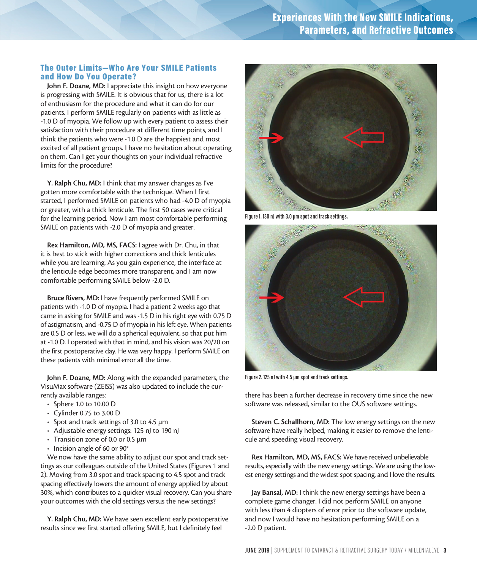### The Outer Limits—Who Are Your SMILE Patients and How Do You Operate?

John F. Doane, MD: I appreciate this insight on how everyone is progressing with SMILE. It is obvious that for us, there is a lot of enthusiasm for the procedure and what it can do for our patients. I perform SMILE regularly on patients with as little as -1.0 D of myopia. We follow up with every patient to assess their satisfaction with their procedure at different time points, and I think the patients who were -1.0 D are the happiest and most excited of all patient groups. I have no hesitation about operating on them. Can I get your thoughts on your individual refractive limits for the procedure?

Y. Ralph Chu, MD: I think that my answer changes as I've gotten more comfortable with the technique. When I first started, I performed SMILE on patients who had -4.0 D of myopia or greater, with a thick lenticule. The first 50 cases were critical for the learning period. Now I am most comfortable performing SMILE on patients with -2.0 D of myopia and greater.

Rex Hamilton, MD, MS, FACS: I agree with Dr. Chu, in that it is best to stick with higher corrections and thick lenticules while you are learning. As you gain experience, the interface at the lenticule edge becomes more transparent, and I am now comfortable performing SMILE below -2.0 D.

Bruce Rivers, MD: I have frequently performed SMILE on patients with -1.0 D of myopia. I had a patient 2 weeks ago that came in asking for SMILE and was -1.5 D in his right eye with 0.75 D of astigmatism, and -0.75 D of myopia in his left eye. When patients are 0.5 D or less, we will do a spherical equivalent, so that put him at -1.0 D. I operated with that in mind, and his vision was 20/20 on the first postoperative day. He was very happy. I perform SMILE on these patients with minimal error all the time.

John F. Doane, MD: Along with the expanded parameters, the VisuMax software (ZEISS) was also updated to include the currently available ranges:

- Sphere 1.0 to 10.00 D
- Cylinder 0.75 to 3.00 D
- Spot and track settings of 3.0 to 4.5 µm
- Adjustable energy settings: 125 nJ to 190 nJ
- Transition zone of 0.0 or 0.5 µm
- Incision angle of 60 or 90°

We now have the same ability to adjust our spot and track settings as our colleagues outside of the United States (Figures 1 and 2). Moving from 3.0 spot and track spacing to 4.5 spot and track spacing effectively lowers the amount of energy applied by about 30%, which contributes to a quicker visual recovery. Can you share your outcomes with the old settings versus the new settings?

Y. Ralph Chu, MD: We have seen excellent early postoperative results since we first started offering SMILE, but I definitely feel



**FIgure 1. 130 nJ with 3.0 µm spot and track settings.**



**Figure 2. 125 nJ with 4.5 µm spot and track settings.**

there has been a further decrease in recovery time since the new software was released, similar to the OUS software settings.

Steven C. Schallhorn, MD: The low energy settings on the new software have really helped, making it easier to remove the lenticule and speeding visual recovery.

Rex Hamilton, MD, MS, FACS: We have received unbelievable results, especially with the new energy settings. We are using the lowest energy settings and the widest spot spacing, and I love the results.

Jay Bansal, MD: I think the new energy settings have been a complete game changer. I did not perform SMILE on anyone with less than 4 diopters of error prior to the software update, and now I would have no hesitation performing SMILE on a -2.0 D patient.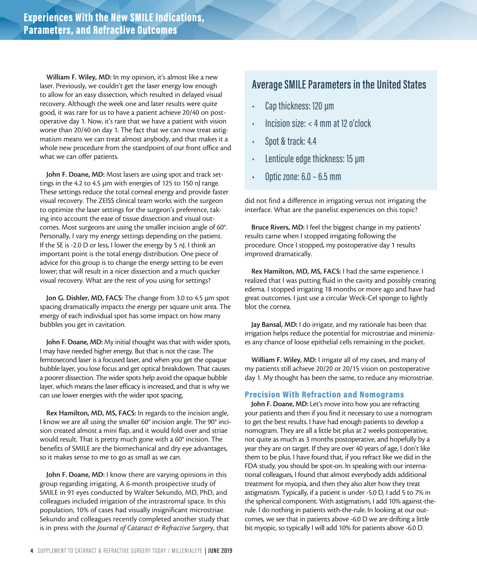William F. Wiley, MD: In my opinion, it's almost like a new laser. Previously, we couldn't get the laser energy low enough to allow for an easy dissection, which resulted in delayed visual recovery. Although the week one and later results were quite good, it was rare for us to have a patient achieve 20/40 on postoperative day 1. Now, it's rare that we have a patient with vision worse than 20/40 on day 1. The fact that we can now treat astigmatism means we can treat almost anybody, and that makes it a whole new procedure from the standpoint of our front office and what we can offer patients.

John F. Doane, MD: Most lasers are using spot and track settings in the 4.2 to 4.5 µm with energies of 125 to 150 nJ range. These settings reduce the total corneal energy and provide faster visual recovery. The ZEISS clinical team works with the surgeon to optimize the laser settings for the surgeon's preference, taking into account the ease of tissue dissection and visual outcomes. Most surgeons are using the smaller incision angle of 60°. Personally, I vary my energy settings depending on the patient. If the SE is -2.0 D or less, I lower the energy by 5 nJ. I think an important point is the total energy distribution. One piece of advice for this group is to change the energy setting to be even lower; that will result in a nicer dissection and a much quicker visual recovery. What are the rest of you using for settings?

Jon G. Dishler, MD, FACS: The change from 3.0 to 4.5 µm spot spacing dramatically impacts the energy per square unit area. The energy of each individual spot has some impact on how many bubbles you get in cavitation.

John F. Doane, MD: My initial thought was that with wider spots, I may have needed higher energy. But that is not the case. The femtosecond laser is a focused laser, and when you get the opaque bubble layer, you lose focus and get optical breakdown. That causes a poorer dissection. The wider spots help avoid the opaque bubble layer, which means the laser efficacy is increased, and that is why we can use lower energies with the wider spot spacing.

Rex Hamilton, MD, MS, FACS: In regards to the incision angle, I know we are all using the smaller 60° incision angle. The 90° incision created almost a mini flap, and it would fold over and striae would result. That is pretty much gone with a 60° incision. The benefits of SMILE are the biomechanical and dry eye advantages, so it makes sense to me to go as small as we can.

John F. Doane, MD: I know there are varying opinions in this group regarding irrigating. A 6-month prospective study of SMILE in 91 eyes conducted by Walter Sekundo, MD, PhD, and colleagues included irrigation of the intrastromal space. In this population, 10% of cases had visually insignificant microstriae. Sekundo and colleagues recently completed another study that is in press with the *Journal of Cataract & Refractive Surger*y, that

### **Average SMILE Parameters in the United States**

- Cap thickness: 120 µm
- Incision size: < 4 mm at 12 o'clock
- Spot & track: 4.4
- Lenticule edge thickness: 15 µm
- Optic zone: 6.0 6.5 mm

did not find a difference in irrigating versus not irrigating the interface. What are the panelist experiences on this topic?

Bruce Rivers, MD: I feel the biggest change in my patients' results came when I stopped irrigating following the procedure. Once I stopped, my postoperative day 1 results improved dramatically.

Rex Hamilton, MD, MS, FACS: I had the same experience. I realized that I was putting fluid in the cavity and possibly creating edema. I stopped irrigating 18 months or more ago and have had great outcomes. I just use a circular Weck-Cel sponge to lightly blot the cornea.

Jay Bansal, MD: I do irrigate, and my rationale has been that irrigation helps reduce the potential for microstriae and minimizes any chance of loose epithelial cells remaining in the pocket.

William F. Wiley, MD: I irrigate all of my cases, and many of my patients still achieve 20/20 or 20/15 vision on postoperative day 1. My thought has been the same, to reduce any microstriae.

### Precision With Refraction and Nomograms

John F. Doane, MD: Let's move into how you are refracting your patients and then if you find it necessary to use a nomogram to get the best results. I have had enough patients to develop a nomogram. They are all a little bit plus at 2 weeks postoperative, not quite as much as 3 months postoperative, and hopefully by a year they are on target. If they are over 40 years of age, I don't like them to be plus. I have found that, if you refract like we did in the FDA study, you should be spot-on. In speaking with our international colleagues, I found that almost everybody adds additional treatment for myopia, and then they also alter how they treat astigmatism. Typically, if a patient is under -5.0 D, I add 5 to 7% in the spherical component. With astigmatism, I add 10% against-therule. I do nothing in patients with-the-rule. In looking at our outcomes, we see that in patients above -6.0 D we are drifting a little bit myopic, so typically I will add 10% for patients above -6.0 D.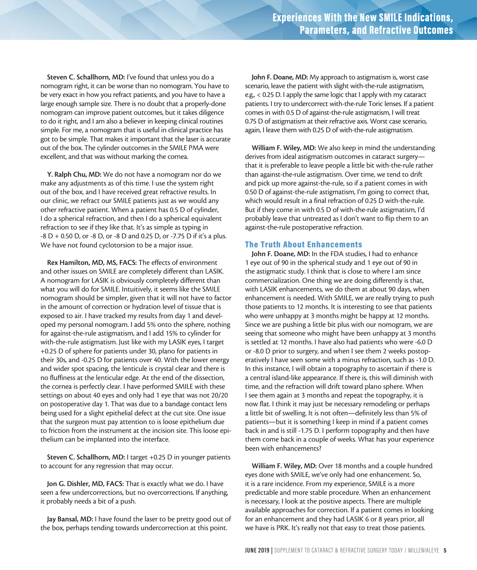Steven C. Schallhorn, MD: I've found that unless you do a nomogram right, it can be worse than no nomogram. You have to be very exact in how you refract patients, and you have to have a large enough sample size. There is no doubt that a properly-done nomogram can improve patient outcomes, but it takes diligence to do it right, and I am also a believer in keeping clinical routines simple. For me, a nomogram that is useful in clinical practice has got to be simple. That makes it important that the laser is accurate out of the box. The cylinder outcomes in the SMILE PMA were excellent, and that was without marking the cornea.

Y. Ralph Chu, MD: We do not have a nomogram nor do we make any adjustments as of this time. I use the system right out of the box, and I have received great refractive results. In our clinic, we refract our SMILE patients just as we would any other refractive patient. When a patient has 0.5 D of cylinder, I do a spherical refraction, and then I do a spherical equivalent refraction to see if they like that. It's as simple as typing in -8 D + 0.50 D, or -8 D, or -8 D and 0.25 D, or -7.75 D if it's a plus. We have not found cyclotorsion to be a major issue.

Rex Hamilton, MD, MS, FACS: The effects of environment and other issues on SMILE are completely different than LASIK. A nomogram for LASIK is obviously completely different than what you will do for SMILE. Intuitively, it seems like the SMILE nomogram should be simpler, given that it will not have to factor in the amount of correction or hydration level of tissue that is exposed to air. I have tracked my results from day 1 and developed my personal nomogram. I add 5% onto the sphere, nothing for against-the-rule astigmatism, and I add 15% to cylinder for with-the-rule astigmatism. Just like with my LASIK eyes, I target +0.25 D of sphere for patients under 30, plano for patients in their 30s, and -0.25 D for patients over 40. With the lower energy and wider spot spacing, the lenticule is crystal clear and there is no fluffiness at the lenticular edge. At the end of the dissection, the cornea is perfectly clear. I have performed SMILE with these settings on about 40 eyes and only had 1 eye that was not 20/20 on postoperative day 1. That was due to a bandage contact lens being used for a slight epithelial defect at the cut site. One issue that the surgeon must pay attention to is loose epithelium due to friction from the instrument at the incision site. This loose epithelium can be implanted into the interface.

Steven C. Schallhorn, MD: I target +0.25 D in younger patients to account for any regression that may occur.

Jon G. Dishler, MD, FACS: That is exactly what we do. I have seen a few undercorrections, but no overcorrections. If anything, it probably needs a bit of a push.

Jay Bansal, MD: I have found the laser to be pretty good out of the box, perhaps tending towards undercorrection at this point.

John F. Doane, MD: My approach to astigmatism is, worst case scenario, leave the patient with slight with-the-rule astigmatism, e.g., < 0.25 D. I apply the same logic that I apply with my cataract patients. I try to undercorrect with-the-rule Toric lenses. If a patient comes in with 0.5 D of against-the-rule astigmatism, I will treat 0.75 D of astigmatism at their refractive axis. Worst case scenario, again, I leave them with 0.25 D of with-the-rule astigmatism.

William F. Wiley, MD: We also keep in mind the understanding derives from ideal astigmatism outcomes in cataract surgery that it is preferable to leave people a little bit with-the-rule rather than against-the-rule astigmatism. Over time, we tend to drift and pick up more against-the-rule, so if a patient comes in with 0.50 D of against-the-rule astigmatism, I'm going to correct that, which would result in a final refraction of 0.25 D with-the-rule. But if they come in with 0.5 D of with-the-rule astigmatism, I'd probably leave that untreated as I don't want to flip them to an against-the-rule postoperative refraction.

### The Truth About Enhancements

John F. Doane, MD: In the FDA studies, I had to enhance 1 eye out of 90 in the spherical study and 1 eye out of 90 in the astigmatic study. I think that is close to where I am since commercialization. One thing we are doing differently is that, with LASIK enhancements, we do them at about 90 days, when enhancement is needed. With SMILE, we are really trying to push those patients to 12 months. It is interesting to see that patients who were unhappy at 3 months might be happy at 12 months. Since we are pushing a little bit plus with our nomogram, we are seeing that someone who might have been unhappy at 3 months is settled at 12 months. I have also had patients who were -6.0 D or -8.0 D prior to surgery, and when I see them 2 weeks postoperatively I have seen some with a minus refraction, such as -1.0 D. In this instance, I will obtain a topography to ascertain if there is a central island-like appearance. If there is, this will diminish with time, and the refraction will drift toward plano sphere. When I see them again at 3 months and repeat the topography, it is now flat. I think it may just be necessary remodeling or perhaps a little bit of swelling. It is not often—definitely less than 5% of patients—but it is something I keep in mind if a patient comes back in and is still -1.75 D. I perform topography and then have them come back in a couple of weeks. What has your experience been with enhancements?

William F. Wiley, MD: Over 18 months and a couple hundred eyes done with SMILE, we've only had one enhancement. So, it is a rare incidence. From my experience, SMILE is a more predictable and more stable procedure. When an enhancement is necessary, I look at the positive aspects. There are multiple available approaches for correction. If a patient comes in looking for an enhancement and they had LASIK 6 or 8 years prior, all we have is PRK. It's really not that easy to treat those patients.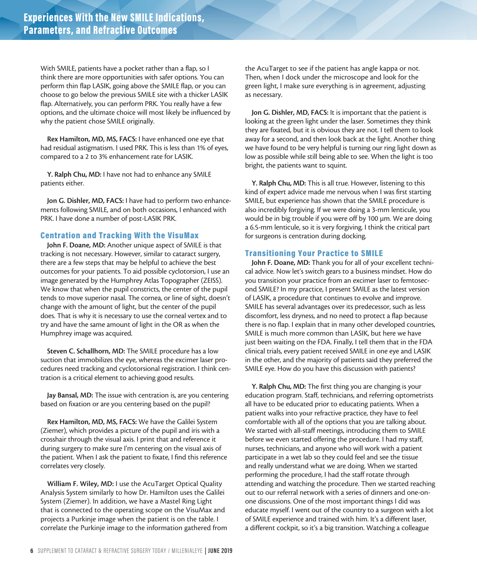With SMILE, patients have a pocket rather than a flap, so I think there are more opportunities with safer options. You can perform thin flap LASIK, going above the SMILE flap, or you can choose to go below the previous SMILE site with a thicker LASIK flap. Alternatively, you can perform PRK. You really have a few options, and the ultimate choice will most likely be influenced by why the patient chose SMILE originally.

Rex Hamilton, MD, MS, FACS: I have enhanced one eye that had residual astigmatism. I used PRK. This is less than 1% of eyes, compared to a 2 to 3% enhancement rate for LASIK.

Y. Ralph Chu, MD: I have not had to enhance any SMILE patients either.

Jon G. Dishler, MD, FACS: I have had to perform two enhancements following SMILE, and on both occasions, I enhanced with PRK. I have done a number of post-LASIK PRK.

### Centration and Tracking With the VisuMax

John F. Doane, MD: Another unique aspect of SMILE is that tracking is not necessary. However, similar to cataract surgery, there are a few steps that may be helpful to achieve the best outcomes for your patients. To aid possible cyclotorsion, I use an image generated by the Humphrey Atlas Topographer (ZEISS). We know that when the pupil constricts, the center of the pupil tends to move superior nasal. The cornea, or line of sight, doesn't change with the amount of light, but the center of the pupil does. That is why it is necessary to use the corneal vertex and to try and have the same amount of light in the OR as when the Humphrey image was acquired.

Steven C. Schallhorn, MD: The SMILE procedure has a low suction that immobilizes the eye, whereas the excimer laser procedures need tracking and cyclotorsional registration. I think centration is a critical element to achieving good results.

Jay Bansal, MD: The issue with centration is, are you centering based on fixation or are you centering based on the pupil?

Rex Hamilton, MD, MS, FACS: We have the Galilei System (Ziemer), which provides a picture of the pupil and iris with a crosshair through the visual axis. I print that and reference it during surgery to make sure I'm centering on the visual axis of the patient. When I ask the patient to fixate, I find this reference correlates very closely.

William F. Wiley, MD: I use the AcuTarget Optical Quality Analysis System similarly to how Dr. Hamilton uses the Galilei System (Ziemer). In addition, we have a Mastel Ring Light that is connected to the operating scope on the VisuMax and projects a Purkinje image when the patient is on the table. I correlate the Purkinje image to the information gathered from the AcuTarget to see if the patient has angle kappa or not. Then, when I dock under the microscope and look for the green light, I make sure everything is in agreement, adjusting as necessary.

Jon G. Dishler, MD, FACS: It is important that the patient is looking at the green light under the laser. Sometimes they think they are fixated, but it is obvious they are not. I tell them to look away for a second, and then look back at the light. Another thing we have found to be very helpful is turning our ring light down as low as possible while still being able to see. When the light is too bright, the patients want to squint.

Y. Ralph Chu, MD: This is all true. However, listening to this kind of expert advice made me nervous when I was first starting SMILE, but experience has shown that the SMILE procedure is also incredibly forgiving. If we were doing a 3-mm lenticule, you would be in big trouble if you were off by 100 µm. We are doing a 6.5-mm lenticule, so it is very forgiving. I think the critical part for surgeons is centration during docking.

### Transitioning Your Practice to SMILE

John F. Doane, MD: Thank you for all of your excellent technical advice. Now let's switch gears to a business mindset. How do you transition your practice from an excimer laser to femtosecond SMILE? In my practice, I present SMILE as the latest version of LASIK, a procedure that continues to evolve and improve. SMILE has several advantages over its predecessor, such as less discomfort, less dryness, and no need to protect a flap because there is no flap. I explain that in many other developed countries, SMILE is much more common than LASIK, but here we have just been waiting on the FDA. Finally, I tell them that in the FDA clinical trials, every patient received SMILE in one eye and LASIK in the other, and the majority of patients said they preferred the SMILE eye. How do you have this discussion with patients?

Y. Ralph Chu, MD: The first thing you are changing is your education program. Staff, technicians, and referring optometrists all have to be educated prior to educating patients. When a patient walks into your refractive practice, they have to feel comfortable with all of the options that you are talking about. We started with all-staff meetings, introducing them to SMILE before we even started offering the procedure. I had my staff, nurses, technicians, and anyone who will work with a patient participate in a wet lab so they could feel and see the tissue and really understand what we are doing. When we started performing the procedure, I had the staff rotate through attending and watching the procedure. Then we started reaching out to our referral network with a series of dinners and one-onone discussions. One of the most important things I did was educate myself. I went out of the country to a surgeon with a lot of SMILE experience and trained with him. It's a different laser, a different cockpit, so it's a big transition. Watching a colleague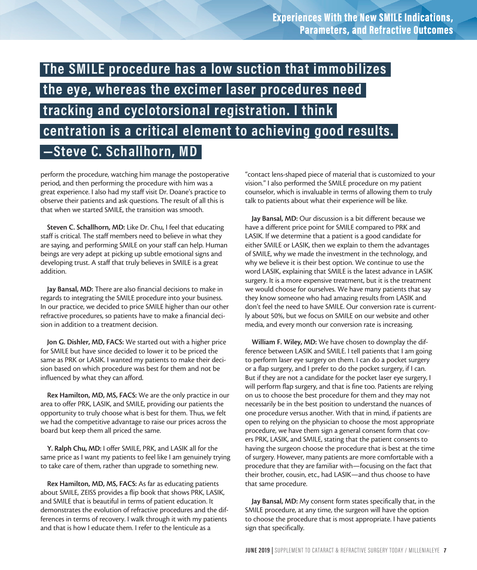### **The SMILE procedure has a low suction that immobilizes the eye, whereas the excimer laser procedures need tracking and cyclotorsional registration. I think centration is a critical element to achieving good results. —Steve C. Schallhorn, MD**

perform the procedure, watching him manage the postoperative period, and then performing the procedure with him was a great experience. I also had my staff visit Dr. Doane's practice to observe their patients and ask questions. The result of all this is that when we started SMILE, the transition was smooth.

Steven C. Schallhorn, MD: Like Dr. Chu, I feel that educating staff is critical. The staff members need to believe in what they are saying, and performing SMILE on your staff can help. Human beings are very adept at picking up subtle emotional signs and developing trust. A staff that truly believes in SMILE is a great addition.

Jay Bansal, MD: There are also financial decisions to make in regards to integrating the SMILE procedure into your business. In our practice, we decided to price SMILE higher than our other refractive procedures, so patients have to make a financial decision in addition to a treatment decision.

Jon G. Dishler, MD, FACS: We started out with a higher price for SMILE but have since decided to lower it to be priced the same as PRK or LASIK. I wanted my patients to make their decision based on which procedure was best for them and not be influenced by what they can afford.

Rex Hamilton, MD, MS, FACS: We are the only practice in our area to offer PRK, LASIK, and SMILE, providing our patients the opportunity to truly choose what is best for them. Thus, we felt we had the competitive advantage to raise our prices across the board but keep them all priced the same.

Y. Ralph Chu, MD: I offer SMILE, PRK, and LASIK all for the same price as I want my patients to feel like I am genuinely trying to take care of them, rather than upgrade to something new.

Rex Hamilton, MD, MS, FACS: As far as educating patients about SMILE, ZEISS provides a flip book that shows PRK, LASIK, and SMILE that is beautiful in terms of patient education. It demonstrates the evolution of refractive procedures and the differences in terms of recovery. I walk through it with my patients and that is how I educate them. I refer to the lenticule as a

"contact lens-shaped piece of material that is customized to your vision." I also performed the SMILE procedure on my patient counselor, which is invaluable in terms of allowing them to truly talk to patients about what their experience will be like.

Jay Bansal, MD: Our discussion is a bit different because we have a different price point for SMILE compared to PRK and LASIK. If we determine that a patient is a good candidate for either SMILE or LASIK, then we explain to them the advantages of SMILE, why we made the investment in the technology, and why we believe it is their best option. We continue to use the word LASIK, explaining that SMILE is the latest advance in LASIK surgery. It is a more expensive treatment, but it is the treatment we would choose for ourselves. We have many patients that say they know someone who had amazing results from LASIK and don't feel the need to have SMILE. Our conversion rate is currently about 50%, but we focus on SMILE on our website and other media, and every month our conversion rate is increasing.

William F. Wiley, MD: We have chosen to downplay the difference between LASIK and SMILE. I tell patients that I am going to perform laser eye surgery on them. I can do a pocket surgery or a flap surgery, and I prefer to do the pocket surgery, if I can. But if they are not a candidate for the pocket laser eye surgery, I will perform flap surgery, and that is fine too. Patients are relying on us to choose the best procedure for them and they may not necessarily be in the best position to understand the nuances of one procedure versus another. With that in mind, if patients are open to relying on the physician to choose the most appropriate procedure, we have them sign a general consent form that covers PRK, LASIK, and SMILE, stating that the patient consents to having the surgeon choose the procedure that is best at the time of surgery. However, many patients are more comfortable with a procedure that they are familiar with—focusing on the fact that their brother, cousin, etc., had LASIK—and thus choose to have that same procedure.

Jay Bansal, MD: My consent form states specifically that, in the SMILE procedure, at any time, the surgeon will have the option to choose the procedure that is most appropriate. I have patients sign that specifically.